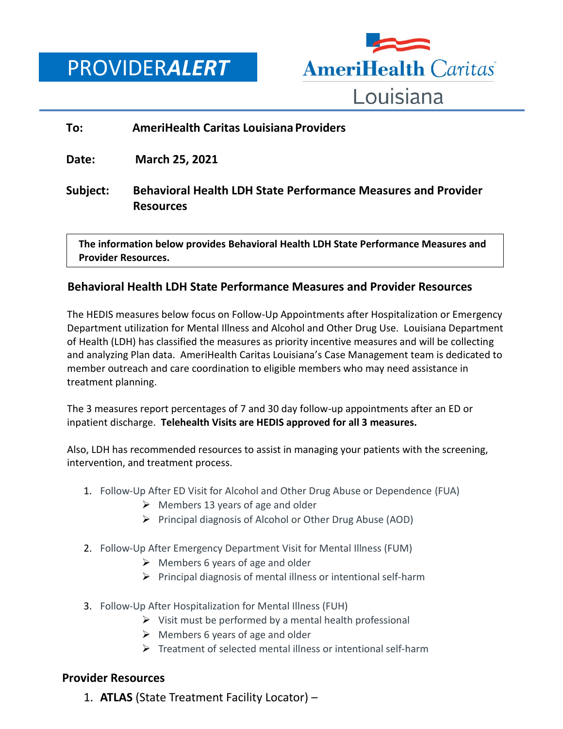# PROVIDER*ALERT*



#### **To: AmeriHealth Caritas Louisiana Providers**

**Date: March 25, 2021**

**Subject: Behavioral Health LDH State Performance Measures and Provider Resources**

 **The information below provides Behavioral Health LDH State Performance Measures and Provider Resources.**

## **Behavioral Health LDH State Performance Measures and Provider Resources**

The HEDIS measures below focus on Follow-Up Appointments after Hospitalization or Emergency Department utilization for Mental Illness and Alcohol and Other Drug Use. Louisiana Department of Health (LDH) has classified the measures as priority incentive measures and will be collecting and analyzing Plan data. AmeriHealth Caritas Louisiana's Case Management team is dedicated to member outreach and care coordination to eligible members who may need assistance in treatment planning.

The 3 measures report percentages of 7 and 30 day follow-up appointments after an ED or inpatient discharge. **Telehealth Visits are HEDIS approved for all 3 measures.**

Also, LDH has recommended resources to assist in managing your patients with the screening, intervention, and treatment process.

- 1. Follow-Up After ED Visit for Alcohol and Other Drug Abuse or Dependence (FUA)
	- $\triangleright$  Members 13 years of age and older
	- $\triangleright$  Principal diagnosis of Alcohol or Other Drug Abuse (AOD)
- 2. Follow-Up After Emergency Department Visit for Mental Illness (FUM)
	- $\triangleright$  Members 6 years of age and older
	- $\triangleright$  Principal diagnosis of mental illness or intentional self-harm
- 3. Follow-Up After Hospitalization for Mental Illness (FUH)
	- $\triangleright$  Visit must be performed by a mental health professional
	- $\triangleright$  Members 6 years of age and older
	- $\triangleright$  Treatment of selected mental illness or intentional self-harm

## **Provider Resources**

1. **ATLAS** (State Treatment Facility Locator) –